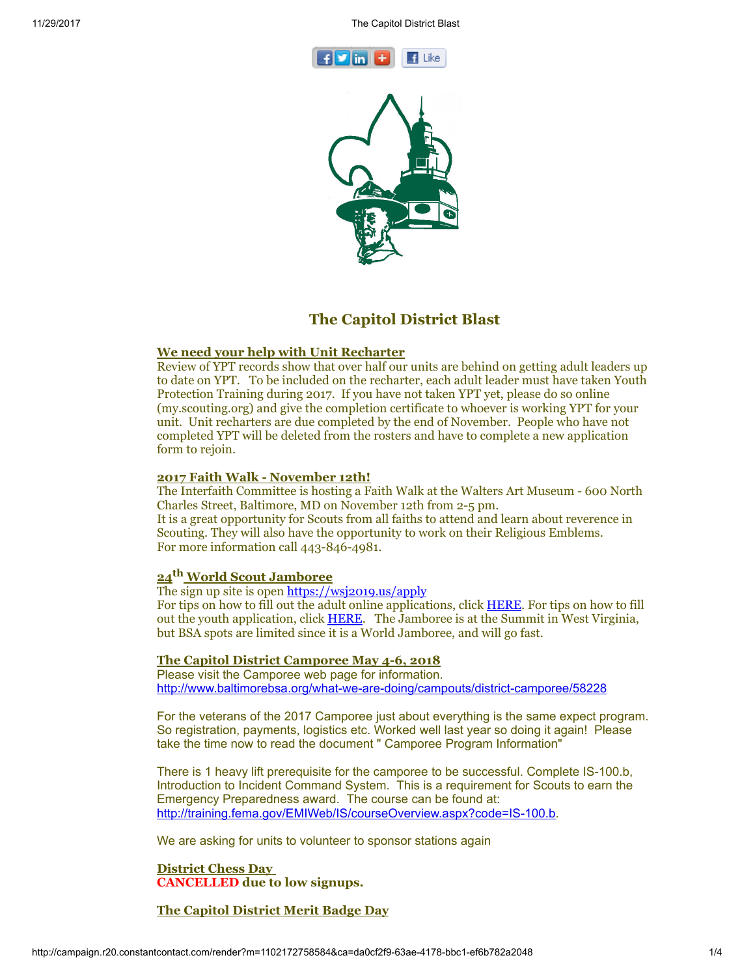11/29/2017 The Capitol District Blast





# The Capitol District Blast

## We need your help with Unit Recharter

Review of YPT records show that over half our units are behind on getting adult leaders up to date on YPT. To be included on the recharter, each adult leader must have taken Youth Protection Training during 2017. If you have not taken YPT yet, please do so online (my.scouting.org) and give the completion certificate to whoever is working YPT for your unit. Unit recharters are due completed by the end of November. People who have not completed YPT will be deleted from the rosters and have to complete a new application form to rejoin.

## 2017 Faith Walk - November 12th!

The Interfaith Committee is hosting a Faith Walk at the Walters Art Museum - 600 North Charles Street, Baltimore, MD on November 12th from 2-5 pm. It is a great opportunity for Scouts from all faiths to attend and learn about reverence in Scouting. They will also have the opportunity to work on their Religious Emblems. For more information call 443-846-4981.

# 24<sup>th</sup> World Scout Jamboree

# The sign up site is open [https://wsj2019.us/apply](https://urldefense.proofpoint.com/v2/url?u=https-3A__wsj2019.us_apply&d=DwQFaQ&c=NUhaNIajfB1frln1iJ2Yk7NG56jrODI6LbjgSoSeFoE&r=b8FyLEPjgBPUn6JYkZtz9eotQc5WP052lD2DF1sQAV8&m=77YUUHIXVn4KokzyjCQT3ktLGfChp9Gs8MvYV2z1HkM&s=6_aBaHmX_iEZ2u_6bS27JzfDQntqNqGzBIfJVBassEY&e=)

For tips on how to fill out the adult online applications, click [HERE](https://wsj2019.us/wp-content/uploads/2017/10/USA-Adult-Application-Tips.pdf). For tips on how to fill out the youth application, click [HERE.](https://wsj2019.us/wp-content/uploads/2017/10/USA-Youth-Application-Tips.pdf) The Jamboree is at the Summit in West Virginia, but BSA spots are limited since it is a World Jamboree, and will go fast.

## The Capitol District Camporee May 4-6, 2018

Please visit the Camporee web page for information. <http://www.baltimorebsa.org/what-we-are-doing/campouts/district-camporee/58228>

For the veterans of the 2017 Camporee just about everything is the same expect program. So registration, payments, logistics etc. Worked well last year so doing it again! Please take the time now to read the document " Camporee Program Information"

There is 1 heavy lift prerequisite for the camporee to be successful. Complete IS-100.b, Introduction to Incident Command System. This is a requirement for Scouts to earn the Emergency Preparedness award. The course can be found at: <http://training.fema.gov/EMIWeb/IS/courseOverview.aspx?code=IS-100.b>.

We are asking for units to volunteer to sponsor stations again

District Chess Day CANCELLED due to low signups.

# The Capitol District Merit Badge Day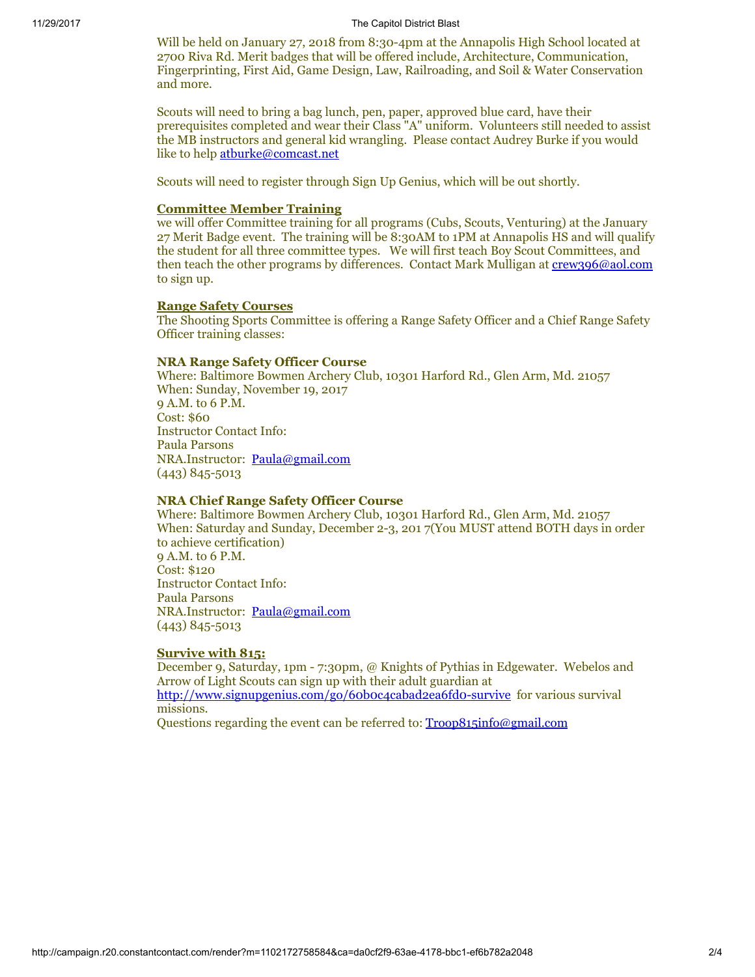#### 11/29/2017 The Capitol District Blast

Will be held on January 27, 2018 from 8:30-4pm at the Annapolis High School located at 2700 Riva Rd. Merit badges that will be offered include, Architecture, Communication, Fingerprinting, First Aid, Game Design, Law, Railroading, and Soil & Water Conservation and more.

Scouts will need to bring a bag lunch, pen, paper, approved blue card, have their prerequisites completed and wear their Class "A" uniform. Volunteers still needed to assist the MB instructors and general kid wrangling. Please contact Audrey Burke if you would like to help [atburke@comcast.net](mailto:atburke@comcast.net)

Scouts will need to register through Sign Up Genius, which will be out shortly.

#### Committee Member Training

we will offer Committee training for all programs (Cubs, Scouts, Venturing) at the January 27 Merit Badge event. The training will be 8:30AM to 1PM at Annapolis HS and will qualify the student for all three committee types. We will first teach Boy Scout Committees, and then teach the other programs by differences. Contact Mark Mulligan at [crew396@aol.com](mailto:crew396@aol.com) to sign up.

## Range Safety Courses

The Shooting Sports Committee is offering a Range Safety Officer and a Chief Range Safety Officer training classes:

### NRA Range Safety Officer Course

Where: Baltimore Bowmen Archery Club, 10301 Harford Rd., Glen Arm, Md. 21057 When: Sunday, November 19, 2017 9 A.M. to 6 P.M. Cost: \$60 Instructor Contact Info: Paula Parsons NRA.Instructor: [Paula@gmail.com](mailto:Paula@gmail.com) (443) 845-5013

## NRA Chief Range Safety Officer Course

Where: Baltimore Bowmen Archery Club, 10301 Harford Rd., Glen Arm, Md. 21057 When: Saturday and Sunday, December 2-3, 201 7(You MUST attend BOTH days in order to achieve certification) 9 A.M. to 6 P.M. Cost: \$120 Instructor Contact Info: Paula Parsons NRA.Instructor: [Paula@gmail.com](mailto:paula@gmail.com) (443) 845-5013

## Survive with 815:

December 9, Saturday, 1pm - 7:30pm, @ Knights of Pythias in Edgewater. Webelos and Arrow of Light Scouts can sign up with their adult guardian at <http://www.signupgenius.com/go/60b0c4cabad2ea6fd0-survive> for various survival missions.

Questions regarding the event can be referred to: [Troop815info@gmail.com](mailto:Troop815info@gmail.com)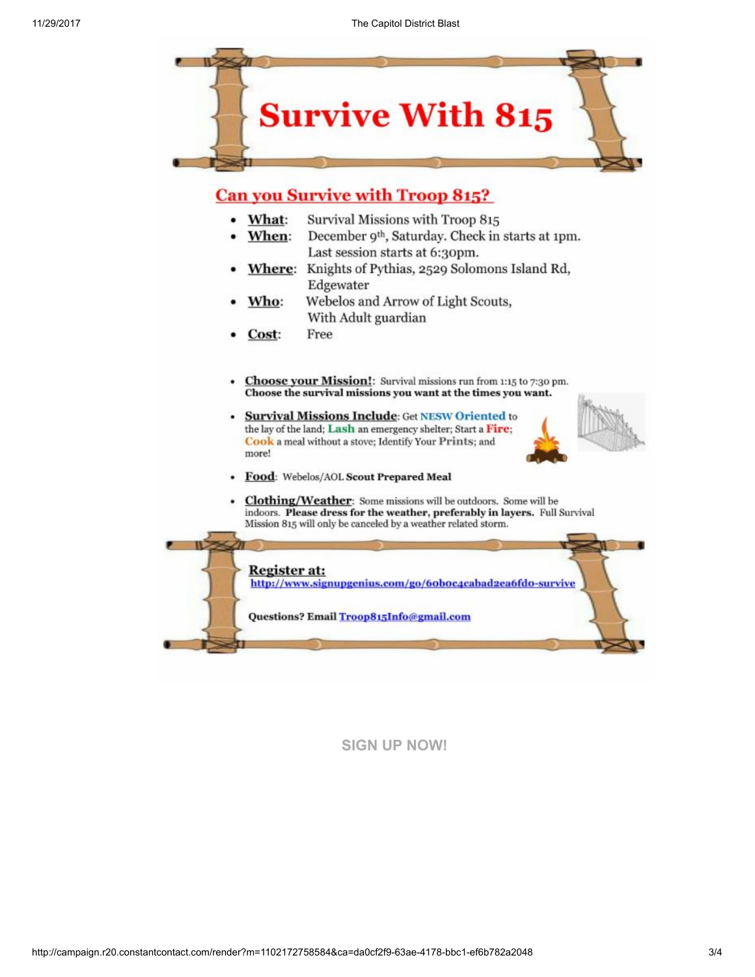

# **Can you Survive with Troop 815?**

- Survival Missions with Troop 815 • What:
- When: December 9<sup>th</sup>, Saturday. Check in starts at 1pm. Last session starts at 6:30pm.
- Where: Knights of Pythias, 2529 Solomons Island Rd, Edgewater
- Webelos and Arrow of Light Scouts, Who: With Adult guardian
- Free Cost:
- Choose your Mission!: Survival missions run from 1:15 to 7:30 pm. Choose the survival missions you want at the times you want.
- **Survival Missions Include: Get NESW Oriented to** the lay of the land; Lash an emergency shelter; Start a Fire; Cook a meal without a stove; Identify Your Prints; and more!



- Food: Webelos/AOL Scout Prepared Meal
- Clothing/Weather: Some missions will be outdoors. Some will be indoors. Please dress for the weather, preferably in layers. Full Survival Mission 815 will only be canceled by a weather related storm.

Register at: http://www.signupgenius.com/go/6oboc4cabad2ea6fdo-survive

Questions? Email Troop815Info@gmail.com

# [SIGN UP NOW!](https://visitor.r20.constantcontact.com/d.jsp?llr=yri8jpcab&p=oi&m=1102172758584&sit=wso59vmdb&f=a27b22d6-1ae3-4965-8fb0-13ded5301e7a)